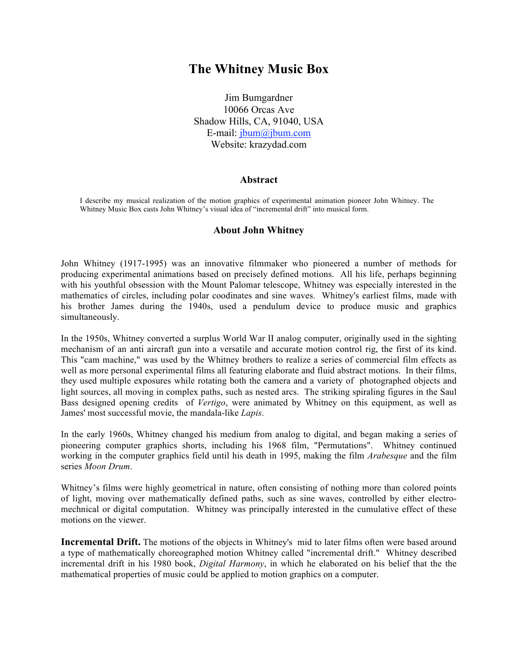## **The Whitney Music Box**

Jim Bumgardner 10066 Orcas Ave Shadow Hills, CA, 91040, USA E-mail: jbum@jbum.com Website: krazydad.com

## **Abstract**

I describe my musical realization of the motion graphics of experimental animation pioneer John Whitney. The Whitney Music Box casts John Whitney's visual idea of "incremental drift" into musical form.

## **About John Whitney**

John Whitney (1917-1995) was an innovative filmmaker who pioneered a number of methods for producing experimental animations based on precisely defined motions. All his life, perhaps beginning with his youthful obsession with the Mount Palomar telescope, Whitney was especially interested in the mathematics of circles, including polar coodinates and sine waves. Whitney's earliest films, made with his brother James during the 1940s, used a pendulum device to produce music and graphics simultaneously.

In the 1950s, Whitney converted a surplus World War II analog computer, originally used in the sighting mechanism of an anti aircraft gun into a versatile and accurate motion control rig, the first of its kind. This "cam machine," was used by the Whitney brothers to realize a series of commercial film effects as well as more personal experimental films all featuring elaborate and fluid abstract motions. In their films, they used multiple exposures while rotating both the camera and a variety of photographed objects and light sources, all moving in complex paths, such as nested arcs. The striking spiraling figures in the Saul Bass designed opening credits of *Vertigo*, were animated by Whitney on this equipment, as well as James' most successful movie, the mandala-like *Lapis*.

In the early 1960s, Whitney changed his medium from analog to digital, and began making a series of pioneering computer graphics shorts, including his 1968 film, "Permutations". Whitney continued working in the computer graphics field until his death in 1995, making the film *Arabesque* and the film series *Moon Drum*.

Whitney's films were highly geometrical in nature, often consisting of nothing more than colored points of light, moving over mathematically defined paths, such as sine waves, controlled by either electromechnical or digital computation. Whitney was principally interested in the cumulative effect of these motions on the viewer.

**Incremental Drift.** The motions of the objects in Whitney's mid to later films often were based around a type of mathematically choreographed motion Whitney called "incremental drift." Whitney described incremental drift in his 1980 book, *Digital Harmony*, in which he elaborated on his belief that the the mathematical properties of music could be applied to motion graphics on a computer.